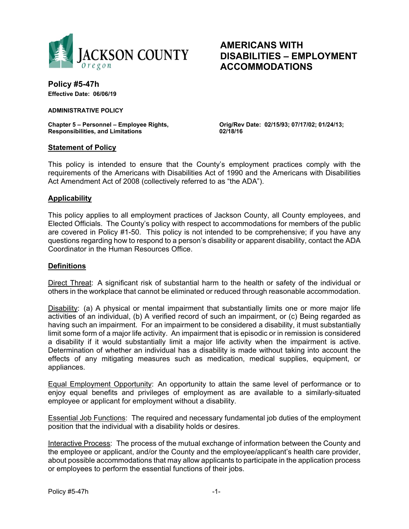

# **AMERICANS WITH DISABILITIES – EMPLOYMENT ACCOMMODATIONS**

**Policy #5-47h Effective Date: 06/06/19** 

**ADMINISTRATIVE POLICY** 

**Chapter 5 – Personnel – Employee Rights, Responsibilities, and Limitations** 

**Orig/Rev Date: 02/15/93; 07/17/02; 01/24/13; 02/18/16** 

### **Statement of Policy**

This policy is intended to ensure that the County's employment practices comply with the requirements of the Americans with Disabilities Act of 1990 and the Americans with Disabilities Act Amendment Act of 2008 (collectively referred to as "the ADA").

### **Applicability**

This policy applies to all employment practices of Jackson County, all County employees, and Elected Officials. The County's policy with respect to accommodations for members of the public are covered in Policy #1-50. This policy is not intended to be comprehensive; if you have any questions regarding how to respond to a person's disability or apparent disability, contact the ADA Coordinator in the Human Resources Office.

## **Definitions**

Direct Threat: A significant risk of substantial harm to the health or safety of the individual or others in the workplace that cannot be eliminated or reduced through reasonable accommodation.

Disability: (a) A physical or mental impairment that substantially limits one or more major life activities of an individual, (b) A verified record of such an impairment, or (c) Being regarded as having such an impairment. For an impairment to be considered a disability, it must substantially limit some form of a major life activity. An impairment that is episodic or in remission is considered a disability if it would substantially limit a major life activity when the impairment is active. Determination of whether an individual has a disability is made without taking into account the effects of any mitigating measures such as medication, medical supplies, equipment, or appliances.

Equal Employment Opportunity: An opportunity to attain the same level of performance or to enjoy equal benefits and privileges of employment as are available to a similarly-situated employee or applicant for employment without a disability.

Essential Job Functions: The required and necessary fundamental job duties of the employment position that the individual with a disability holds or desires.

Interactive Process: The process of the mutual exchange of information between the County and the employee or applicant, and/or the County and the employee/applicant's health care provider, about possible accommodations that may allow applicants to participate in the application process or employees to perform the essential functions of their jobs.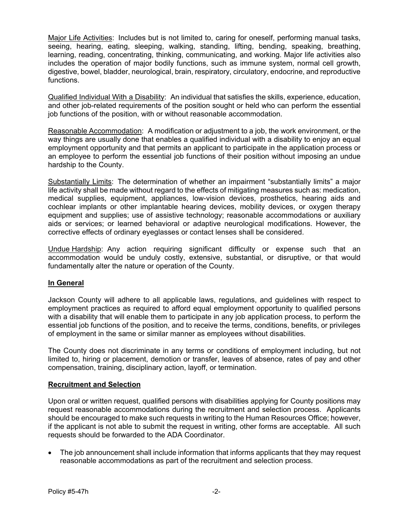Major Life Activities: Includes but is not limited to, caring for oneself, performing manual tasks, seeing, hearing, eating, sleeping, walking, standing, lifting, bending, speaking, breathing, learning, reading, concentrating, thinking, communicating, and working. Major life activities also includes the operation of major bodily functions, such as immune system, normal cell growth, digestive, bowel, bladder, neurological, brain, respiratory, circulatory, endocrine, and reproductive functions.

Qualified Individual With a Disability: An individual that satisfies the skills, experience, education, and other job-related requirements of the position sought or held who can perform the essential job functions of the position, with or without reasonable accommodation.

Reasonable Accommodation: A modification or adjustment to a job, the work environment, or the way things are usually done that enables a qualified individual with a disability to enjoy an equal employment opportunity and that permits an applicant to participate in the application process or an employee to perform the essential job functions of their position without imposing an undue hardship to the County.

Substantially Limits: The determination of whether an impairment "substantially limits" a major life activity shall be made without regard to the effects of mitigating measures such as: medication, medical supplies, equipment, appliances, low-vision devices, prosthetics, hearing aids and cochlear implants or other implantable hearing devices, mobility devices, or oxygen therapy equipment and supplies; use of assistive technology; reasonable accommodations or auxiliary aids or services; or learned behavioral or adaptive neurological modifications. However, the corrective effects of ordinary eyeglasses or contact lenses shall be considered.

Undue Hardship: Any action requiring significant difficulty or expense such that an accommodation would be unduly costly, extensive, substantial, or disruptive, or that would fundamentally alter the nature or operation of the County.

## **In General**

Jackson County will adhere to all applicable laws, regulations, and guidelines with respect to employment practices as required to afford equal employment opportunity to qualified persons with a disability that will enable them to participate in any job application process, to perform the essential job functions of the position, and to receive the terms, conditions, benefits, or privileges of employment in the same or similar manner as employees without disabilities.

The County does not discriminate in any terms or conditions of employment including, but not limited to, hiring or placement, demotion or transfer, leaves of absence, rates of pay and other compensation, training, disciplinary action, layoff, or termination.

## **Recruitment and Selection**

Upon oral or written request, qualified persons with disabilities applying for County positions may request reasonable accommodations during the recruitment and selection process. Applicants should be encouraged to make such requests in writing to the Human Resources Office; however, if the applicant is not able to submit the request in writing, other forms are acceptable. All such requests should be forwarded to the ADA Coordinator.

 The job announcement shall include information that informs applicants that they may request reasonable accommodations as part of the recruitment and selection process.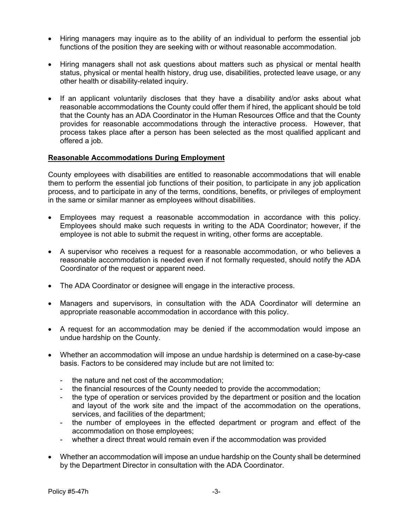- Hiring managers may inquire as to the ability of an individual to perform the essential job functions of the position they are seeking with or without reasonable accommodation.
- Hiring managers shall not ask questions about matters such as physical or mental health status, physical or mental health history, drug use, disabilities, protected leave usage, or any other health or disability-related inquiry.
- If an applicant voluntarily discloses that they have a disability and/or asks about what reasonable accommodations the County could offer them if hired, the applicant should be told that the County has an ADA Coordinator in the Human Resources Office and that the County provides for reasonable accommodations through the interactive process. However, that process takes place after a person has been selected as the most qualified applicant and offered a job.

### **Reasonable Accommodations During Employment**

County employees with disabilities are entitled to reasonable accommodations that will enable them to perform the essential job functions of their position, to participate in any job application process, and to participate in any of the terms, conditions, benefits, or privileges of employment in the same or similar manner as employees without disabilities.

- Employees may request a reasonable accommodation in accordance with this policy. Employees should make such requests in writing to the ADA Coordinator; however, if the employee is not able to submit the request in writing, other forms are acceptable.
- A supervisor who receives a request for a reasonable accommodation, or who believes a reasonable accommodation is needed even if not formally requested, should notify the ADA Coordinator of the request or apparent need.
- The ADA Coordinator or designee will engage in the interactive process.
- Managers and supervisors, in consultation with the ADA Coordinator will determine an appropriate reasonable accommodation in accordance with this policy.
- A request for an accommodation may be denied if the accommodation would impose an undue hardship on the County.
- Whether an accommodation will impose an undue hardship is determined on a case-by-case basis. Factors to be considered may include but are not limited to:
	- the nature and net cost of the accommodation;
	- the financial resources of the County needed to provide the accommodation;
	- the type of operation or services provided by the department or position and the location and layout of the work site and the impact of the accommodation on the operations, services, and facilities of the department;
	- the number of employees in the effected department or program and effect of the accommodation on those employees;
	- whether a direct threat would remain even if the accommodation was provided
- Whether an accommodation will impose an undue hardship on the County shall be determined by the Department Director in consultation with the ADA Coordinator.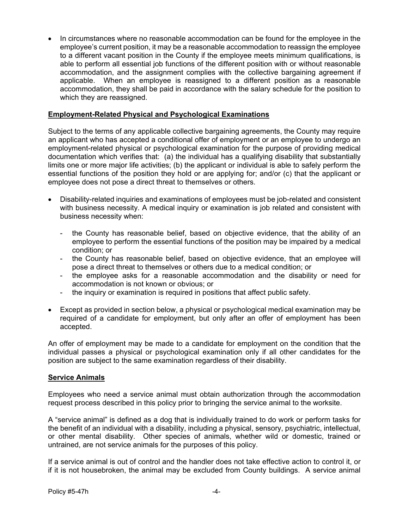In circumstances where no reasonable accommodation can be found for the employee in the employee's current position, it may be a reasonable accommodation to reassign the employee to a different vacant position in the County if the employee meets minimum qualifications, is able to perform all essential job functions of the different position with or without reasonable accommodation, and the assignment complies with the collective bargaining agreement if applicable. When an employee is reassigned to a different position as a reasonable accommodation, they shall be paid in accordance with the salary schedule for the position to which they are reassigned.

### **Employment-Related Physical and Psychological Examinations**

Subject to the terms of any applicable collective bargaining agreements, the County may require an applicant who has accepted a conditional offer of employment or an employee to undergo an employment-related physical or psychological examination for the purpose of providing medical documentation which verifies that: (a) the individual has a qualifying disability that substantially limits one or more major life activities; (b) the applicant or individual is able to safely perform the essential functions of the position they hold or are applying for; and/or (c) that the applicant or employee does not pose a direct threat to themselves or others.

- Disability-related inquiries and examinations of employees must be job-related and consistent with business necessity. A medical inquiry or examination is job related and consistent with business necessity when:
	- the County has reasonable belief, based on objective evidence, that the ability of an employee to perform the essential functions of the position may be impaired by a medical condition; or
	- the County has reasonable belief, based on objective evidence, that an employee will pose a direct threat to themselves or others due to a medical condition; or
	- the employee asks for a reasonable accommodation and the disability or need for accommodation is not known or obvious; or
	- the inquiry or examination is required in positions that affect public safety.
- Except as provided in section below, a physical or psychological medical examination may be required of a candidate for employment, but only after an offer of employment has been accepted.

An offer of employment may be made to a candidate for employment on the condition that the individual passes a physical or psychological examination only if all other candidates for the position are subject to the same examination regardless of their disability.

#### **Service Animals**

Employees who need a service animal must obtain authorization through the accommodation request process described in this policy prior to bringing the service animal to the worksite.

A "service animal" is defined as a dog that is individually trained to do work or perform tasks for the benefit of an individual with a disability, including a physical, sensory, psychiatric, intellectual, or other mental disability. Other species of animals, whether wild or domestic, trained or untrained, are not service animals for the purposes of this policy.

If a service animal is out of control and the handler does not take effective action to control it, or if it is not housebroken, the animal may be excluded from County buildings. A service animal